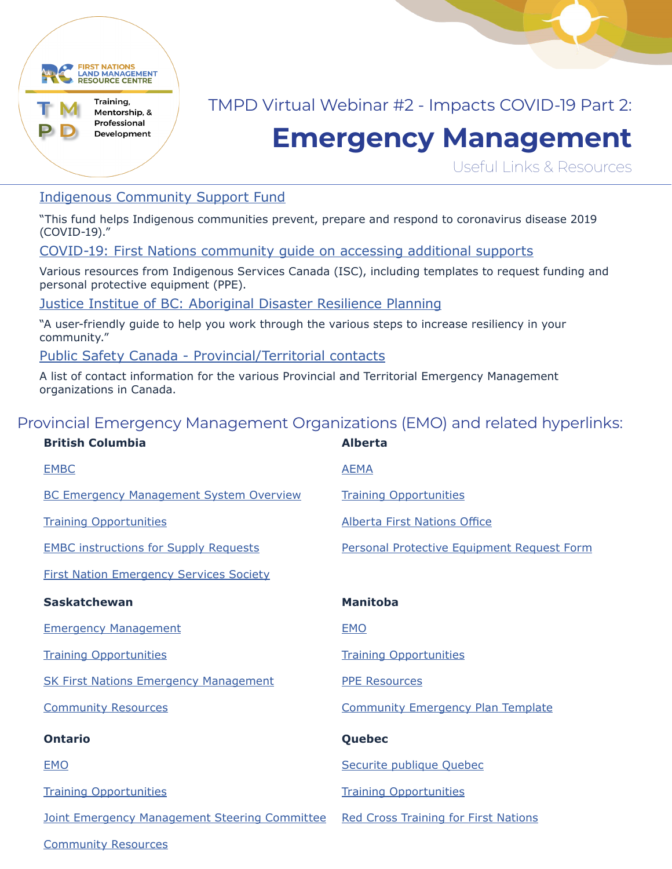

## TMPD Virtual Webinar #2 - Impacts COVID-19 Part 2:

# **Emergency Management**

Useful Links & Resources

#### [Indigenous Community Support Fund](https://www.sac-isc.gc.ca/eng/1585189335380/1585189357198)

"This fund helps Indigenous communities prevent, prepare and respond to coronavirus disease 2019 (COVID-19)."

#### [COVID-19: First Nations community guide on accessing additional supports](https://www.sac-isc.gc.ca/eng/1584819394157/1584819418553)

Various resources from Indigenous Services Canada (ISC), including templates to request funding and personal protective equipment (PPE).

[Justice Institue of BC: Aboriginal Disaster Resilience Planning](https://adrp.jibc.ca/)

"A user-friendly guide to help you work through the various steps to increase resiliency in your community."

[Public Safety Canada - Provincial/Territorial contacts](https://www.publicsafety.gc.ca/cnt/mrgnc-mngmnt/xmplry-wrds/cntct-en.aspx?wbdisable=true)

A list of contact information for the various Provincial and Territorial Emergency Management organizations in Canada.

### Provincial Emergency Management Organizations (EMO) and related hyperlinks:

| <b>British Columbia</b>                              | <b>Alberta</b>                              |
|------------------------------------------------------|---------------------------------------------|
| <b>EMBC</b>                                          | <b>AEMA</b>                                 |
| <b>BC Emergency Management System Overview</b>       | <b>Training Opportunities</b>               |
| <b>Training Opportunities</b>                        | <b>Alberta First Nations Office</b>         |
| <b>EMBC instructions for Supply Requests</b>         | Personal Protective Equipment Request Form  |
| <b>First Nation Emergency Services Society</b>       |                                             |
| <b>Saskatchewan</b>                                  | <b>Manitoba</b>                             |
| <b>Emergency Management</b>                          | <b>EMO</b>                                  |
| <b>Training Opportunities</b>                        | <b>Training Opportunities</b>               |
| <b>SK First Nations Emergency Management</b>         | <b>PPE Resources</b>                        |
| <b>Community Resources</b>                           | <b>Community Emergency Plan Template</b>    |
| <b>Ontario</b>                                       | Quebec                                      |
| <b>EMO</b>                                           | Securite publique Quebec                    |
| <b>Training Opportunities</b>                        | <b>Training Opportunities</b>               |
| <b>Joint Emergency Management Steering Committee</b> | <b>Red Cross Training for First Nations</b> |
| <b>Community Resources</b>                           |                                             |